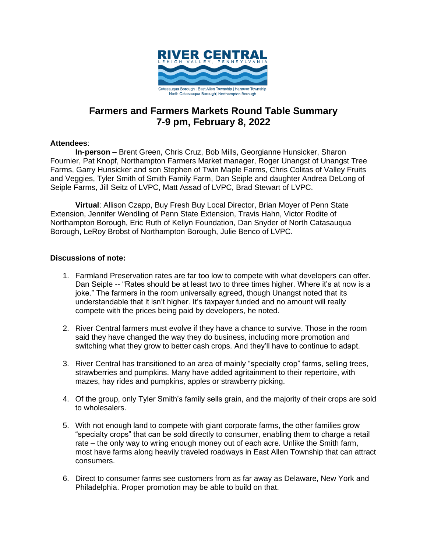

# **Farmers and Farmers Markets Round Table Summary 7-9 pm, February 8, 2022**

### **Attendees**:

**In-person** – Brent Green, Chris Cruz, Bob Mills, Georgianne Hunsicker, Sharon Fournier, Pat Knopf, Northampton Farmers Market manager, Roger Unangst of Unangst Tree Farms, Garry Hunsicker and son Stephen of Twin Maple Farms, Chris Colitas of Valley Fruits and Veggies, Tyler Smith of Smith Family Farm, Dan Seiple and daughter Andrea DeLong of Seiple Farms, Jill Seitz of LVPC, Matt Assad of LVPC, Brad Stewart of LVPC.

**Virtual**: Allison Czapp, Buy Fresh Buy Local Director, Brian Moyer of Penn State Extension, Jennifer Wendling of Penn State Extension, Travis Hahn, Victor Rodite of Northampton Borough, Eric Ruth of Kellyn Foundation, Dan Snyder of North Catasauqua Borough, LeRoy Brobst of Northampton Borough, Julie Benco of LVPC.

### **Discussions of note:**

- 1. Farmland Preservation rates are far too low to compete with what developers can offer. Dan Seiple -- "Rates should be at least two to three times higher. Where it's at now is a joke." The farmers in the room universally agreed, though Unangst noted that its understandable that it isn't higher. It's taxpayer funded and no amount will really compete with the prices being paid by developers, he noted.
- 2. River Central farmers must evolve if they have a chance to survive. Those in the room said they have changed the way they do business, including more promotion and switching what they grow to better cash crops. And they'll have to continue to adapt.
- 3. River Central has transitioned to an area of mainly "specialty crop" farms, selling trees, strawberries and pumpkins. Many have added agritainment to their repertoire, with mazes, hay rides and pumpkins, apples or strawberry picking.
- 4. Of the group, only Tyler Smith's family sells grain, and the majority of their crops are sold to wholesalers.
- 5. With not enough land to compete with giant corporate farms, the other families grow "specialty crops" that can be sold directly to consumer, enabling them to charge a retail rate – the only way to wring enough money out of each acre. Unlike the Smith farm, most have farms along heavily traveled roadways in East Allen Township that can attract consumers.
- 6. Direct to consumer farms see customers from as far away as Delaware, New York and Philadelphia. Proper promotion may be able to build on that.